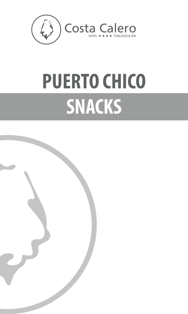

# **PUERTO CHICO SNACKS**

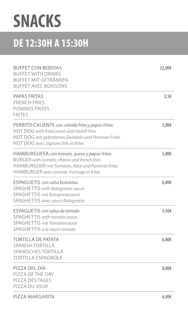### **SNACKS**

#### **DE 12:30H A 15:30H**

| <b>BUFFET CON BEBIDAS</b><br><b>BUFFET WITH DRINKS</b><br><b>BUFFET MIT GETRÄNKEN</b><br><b>BUFFET AVEC BOISSONS</b>                                                                               | 22,00€ |
|----------------------------------------------------------------------------------------------------------------------------------------------------------------------------------------------------|--------|
| <b>PAPAS FRITAS</b><br><b>FRENCH FRIES</b><br><b>POMMES FRITES</b><br><b>FRITES</b>                                                                                                                | 3,56   |
| PERRITO CALIENTE con cebolla frita y papas fritas<br>HOT DOG with fried onion and french fries<br>HOT DOG mit gebratenen Zwiebeln und Pommes Frites<br><b>HOT DOG avec oignons frits et frites</b> | 5,00€  |
| HAMBURGUESA con tomate, queso y papas fritas<br><b>BURGER</b> with tomato, cheese and french fries<br>HAMBURGUER mit Tomaten, Käse und Pommes frites<br>HAMBURGER avec tomate, fromage et frites   | 5,00€  |
| ESPAGUETIS con salsa boloñesa<br><b>SPAGHETTIS</b> with Bolognaise sauce<br><b>SPAGHETTIS mit Bolognesesauce</b><br><b>SPAGHETTIS avec sauce Bolognaise</b>                                        | 6,00€  |
| ESPAGUETIS con salsa de tomate<br><b>SPAGHETTIS</b> with tomato sauce<br><b>SPAGHETTIS mit Tomatensauce</b><br>SPAGHETTIS a la sauce tomate                                                        | 5,50€  |
| <b>TORTILLA DE PATATA</b><br><b>SPANISH TORTILLA</b><br><b>SPANISCHES TORTILLA</b><br><b>TORTILLA ESPAGNOLE</b>                                                                                    | 6,00€  |
| PIZZA DEL DÍA<br>PIZZA OF THE DAY<br><b>PIZZA DES TAGES</b><br>PIZZA DU JOUR                                                                                                                       | 8,00€  |
| PIZZA MARGARITA                                                                                                                                                                                    | 6,00€  |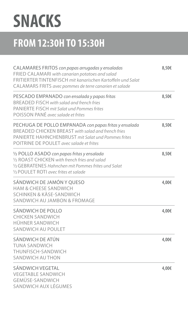## **SNACKS**

#### **FROM 12:30H TO 15:30H**

| CALAMARES FRITOS con papas arrugadas y ensaladas<br>FRIED CALAMARI with canarian potatoes and salad<br>FRITIERTER TINTENFISCH mit kanarischen Kartoffeln und Salat<br>CALAMARS FRITS avec pommes de terre canarien et salade | 8,50€ |
|------------------------------------------------------------------------------------------------------------------------------------------------------------------------------------------------------------------------------|-------|
| PESCADO EMPANADO con ensalada y papas fritas<br><b>BREADED FISCH with salad and french fries</b><br><b>PANIERTE FISCH mit Salat und Pommes frites</b><br>POISSON PANÉ avec salade et frites                                  | 8,50€ |
| PECHUGA DE POLLO EMPANADA con papas fritas y ensalada<br><b>BREADED CHICKEN BREAST with salad and french fries</b><br><b>PANIERTE HAHNCHENBRUST</b> mit Salat und Pommes frites<br>POITRINE DE POULET avec salade et frites  | 8,50€ |
| 1/2 POLLO ASADO con papas fritas y ensalada<br>1/2 ROAST CHICKEN with french fries and salad<br>1/2 GEBRATENES Hahnchen mit Pommes frites und Salat<br>1/2 POULET ROTI avec frites et salade                                 | 8,50€ |
| SÁNDWICH DE JAMÓN Y QUESO<br><b>HAM &amp; CHEESE SANDWICH</b><br><b>SCHINKEN &amp; KÄSE-SANDWICH</b><br><b>SANDWICH AU JAMBON &amp; FROMAGE</b>                                                                              | 4,00€ |
| SÁNDWICH DE POLLO<br><b>CHICKEN SANDWICH</b><br><b>HÜHNER SANDWICH</b><br><b>SANDWICH AU POULET</b>                                                                                                                          | 4,00€ |
| SÁNDWICH DE ATÚN<br><b>TUNA SANDWICH</b><br>THUNFISCH-SANDWICH<br><b>SANDWICH AU THON</b>                                                                                                                                    | 4,00€ |
| <b>SÁNDWICH VEGETAL</b><br><b>VEGETABLE SANDWICH</b><br><b>GEMÜSE-SANDWICH</b><br>SANDWICH AUX LÉGUMES                                                                                                                       | 4,00€ |